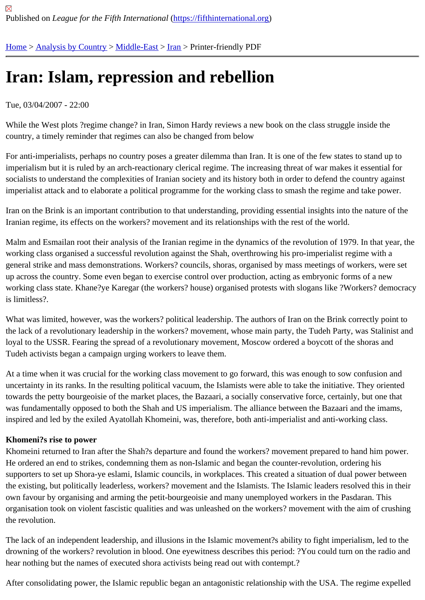# [Iran](https://fifthinternational.org/)[: Islam, re](https://fifthinternational.org/category/1)[pressio](https://fifthinternational.org/category/1/178)[n a](https://fifthinternational.org/category/1/178/182)nd rebellion

## Tue, 03/04/2007 - 22:00

While the West plots ?regime change? in Iran, Simon Hardy reviews a new book on the class struggle inside the country, a timely reminder that regimes can also be changed from below

For anti-imperialists, perhaps no country poses a greater dilemma than Iran. It is one of the few states to stand up imperialism but it is ruled by an arch-reactionary clerical regime. The increasing threat of war makes it essential fo socialists to understand the complexities of Iranian society and its history both in order to defend the country agair imperialist attack and to elaborate a political programme for the working class to smash the regime and take powe

Iran on the Brink is an important contribution to that understanding, providing essential insights into the nature of the Iranian regime, its effects on the workers? movement and its relationships with the rest of the world.

Malm and Esmailan root their analysis of the Iranian regime in the dynamics of the revolution of 1979. In that year, working class organised a successful revolution against the Shah, overthrowing his pro-imperialist regime with a general strike and mass demonstrations. Workers? councils, shoras, organised by mass meetings of workers, wer up across the country. Some even began to exercise control over production, acting as embryonic forms of a new working class state. Khane?ye Karegar (the workers? house) organised protests with slogans like ?Workers? dem is limitless?.

What was limited, however, was the workers? political leadership. The authors of Iran on the Brink correctly point t the lack of a revolutionary leadership in the workers? movement, whose main party, the Tudeh Party, was Stalinist loyal to the USSR. Fearing the spread of a revolutionary movement, Moscow ordered a boycott of the shoras and Tudeh activists began a campaign urging workers to leave them.

At a time when it was crucial for the working class movement to go forward, this was enough to sow confusion and uncertainty in its ranks. In the resulting political vacuum, the Islamists were able to take the initiative. They oriented towards the petty bourgeoisie of the market places, the Bazaari, a socially conservative force, certainly, but one th was fundamentally opposed to both the Shah and US imperialism. The alliance between the Bazaari and the iman inspired and led by the exiled Ayatollah Khomeini, was, therefore, both anti-imperialist and anti-working class.

## Khomeni?s rise to power

Khomeini returned to Iran after the Shah?s departure and found the workers? movement prepared to hand him po He ordered an end to strikes, condemning them as non-Islamic and began the counter-revolution, ordering his supporters to set up Shora-ye eslami, Islamic councils, in workplaces. This created a situation of dual power betwe the existing, but politically leaderless, workers? movement and the Islamists. The Islamic leaders resolved this in t own favour by organising and arming the petit-bourgeoisie and many unemployed workers in the Pasdaran. This organisation took on violent fascistic qualities and was unleashed on the workers? movement with the aim of crusl the revolution.

The lack of an independent leadership, and illusions in the Islamic movement?s ability to fight imperialism, led to tl drowning of the workers? revolution in blood. One eyewitness describes this period: ?You could turn on the radio a hear nothing but the names of executed shora activists being read out with contempt.?

After consolidating power, the Islamic republic began an antagonistic relationship with the USA. The regime expell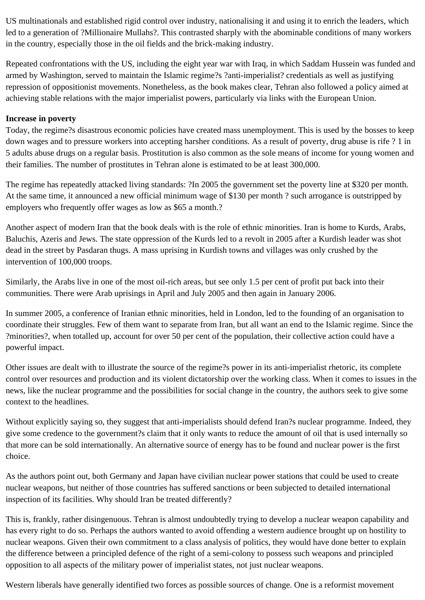US multinationals and established rigid control over industry, nationalising it and using it to enrich the leaders, which led to a generation of ?Millionaire Mullahs?. This contrasted sharply with the abominable conditions of many workers in the country, especially those in the oil fields and the brick-making industry.

Repeated confrontations with the US, including the eight year war with Iraq, in which Saddam Hussein was funded and armed by Washington, served to maintain the Islamic regime?s ?anti-imperialist? credentials as well as justifying repression of oppositionist movements. Nonetheless, as the book makes clear, Tehran also followed a policy aimed at achieving stable relations with the major imperialist powers, particularly via links with the European Union.

#### **Increase in poverty**

Today, the regime?s disastrous economic policies have created mass unemployment. This is used by the bosses to keep down wages and to pressure workers into accepting harsher conditions. As a result of poverty, drug abuse is rife ? 1 in 5 adults abuse drugs on a regular basis. Prostitution is also common as the sole means of income for young women and their families. The number of prostitutes in Tehran alone is estimated to be at least 300,000.

The regime has repeatedly attacked living standards: ?In 2005 the government set the poverty line at \$320 per month. At the same time, it announced a new official minimum wage of \$130 per month ? such arrogance is outstripped by employers who frequently offer wages as low as \$65 a month.?

Another aspect of modern Iran that the book deals with is the role of ethnic minorities. Iran is home to Kurds, Arabs, Baluchis, Azeris and Jews. The state oppression of the Kurds led to a revolt in 2005 after a Kurdish leader was shot dead in the street by Pasdaran thugs. A mass uprising in Kurdish towns and villages was only crushed by the intervention of 100,000 troops.

Similarly, the Arabs live in one of the most oil-rich areas, but see only 1.5 per cent of profit put back into their communities. There were Arab uprisings in April and July 2005 and then again in January 2006.

In summer 2005, a conference of Iranian ethnic minorities, held in London, led to the founding of an organisation to coordinate their struggles. Few of them want to separate from Iran, but all want an end to the Islamic regime. Since the ?minorities?, when totalled up, account for over 50 per cent of the population, their collective action could have a powerful impact.

Other issues are dealt with to illustrate the source of the regime?s power in its anti-imperialist rhetoric, its complete control over resources and production and its violent dictatorship over the working class. When it comes to issues in the news, like the nuclear programme and the possibilities for social change in the country, the authors seek to give some context to the headlines.

Without explicitly saying so, they suggest that anti-imperialists should defend Iran?s nuclear programme. Indeed, they give some credence to the government?s claim that it only wants to reduce the amount of oil that is used internally so that more can be sold internationally. An alternative source of energy has to be found and nuclear power is the first choice.

As the authors point out, both Germany and Japan have civilian nuclear power stations that could be used to create nuclear weapons, but neither of those countries has suffered sanctions or been subjected to detailed international inspection of its facilities. Why should Iran be treated differently?

This is, frankly, rather disingenuous. Tehran is almost undoubtedly trying to develop a nuclear weapon capability and has every right to do so. Perhaps the authors wanted to avoid offending a western audience brought up on hostility to nuclear weapons. Given their own commitment to a class analysis of politics, they would have done better to explain the difference between a principled defence of the right of a semi-colony to possess such weapons and principled opposition to all aspects of the military power of imperialist states, not just nuclear weapons.

Western liberals have generally identified two forces as possible sources of change. One is a reformist movement